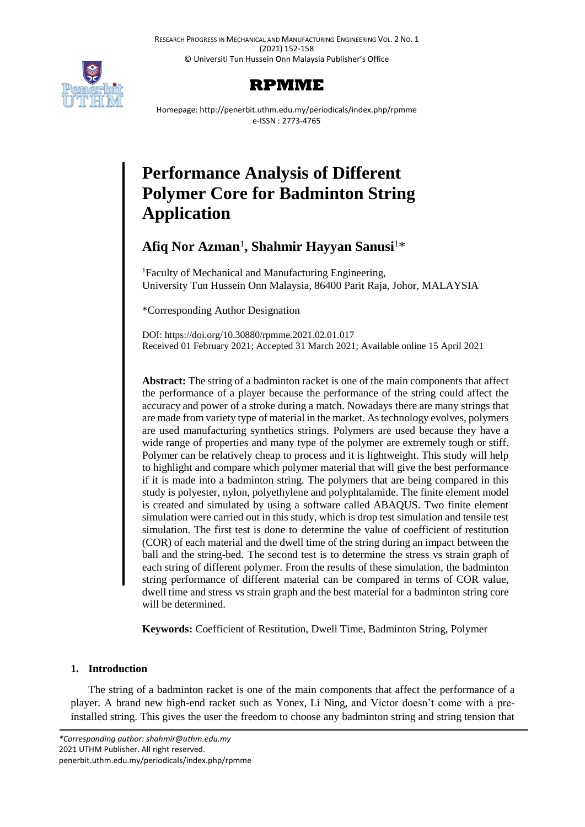RESEARCH PROGRESS IN MECHANICAL AND MANUFACTURING ENGINEERING VOL. 2 NO. 1 (2021) 152-158 © Universiti Tun Hussein Onn Malaysia Publisher's Office



# **RPMME**

Homepage: http://penerbit.uthm.edu.my/periodicals/index.php/rpmme e-ISSN : 2773-4765

# **Performance Analysis of Different Polymer Core for Badminton String Application**

# **Afiq Nor Azman**<sup>1</sup> **, Shahmir Hayyan Sanusi**<sup>1</sup>\*

<sup>1</sup>Faculty of Mechanical and Manufacturing Engineering, University Tun Hussein Onn Malaysia, 86400 Parit Raja, Johor, MALAYSIA

\*Corresponding Author Designation

DOI: https://doi.org/10.30880/rpmme.2021.02.01.017 Received 01 February 2021; Accepted 31 March 2021; Available online 15 April 2021

**Abstract:** The string of a badminton racket is one of the main components that affect the performance of a player because the performance of the string could affect the accuracy and power of a stroke during a match. Nowadays there are many strings that are made from variety type of material in the market. As technology evolves, polymers are used manufacturing synthetics strings. Polymers are used because they have a wide range of properties and many type of the polymer are extremely tough or stiff. Polymer can be relatively cheap to process and it is lightweight. This study will help to highlight and compare which polymer material that will give the best performance if it is made into a badminton string. The polymers that are being compared in this study is polyester, nylon, polyethylene and polyphtalamide. The finite element model is created and simulated by using a software called ABAQUS. Two finite element simulation were carried out in this study, which is drop test simulation and tensile test simulation. The first test is done to determine the value of coefficient of restitution (COR) of each material and the dwell time of the string during an impact between the ball and the string-bed. The second test is to determine the stress vs strain graph of each string of different polymer. From the results of these simulation, the badminton string performance of different material can be compared in terms of COR value, dwell time and stress vs strain graph and the best material for a badminton string core will be determined.

**Keywords:** Coefficient of Restitution, Dwell Time, Badminton String, Polymer

# **1. Introduction**

The string of a badminton racket is one of the main components that affect the performance of a player. A brand new high-end racket such as Yonex, Li Ning, and Victor doesn't come with a preinstalled string. This gives the user the freedom to choose any badminton string and string tension that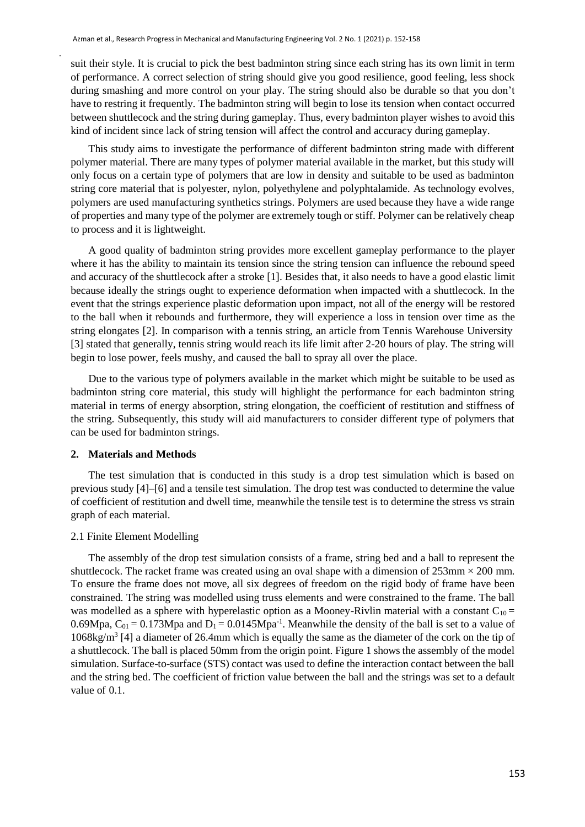suit their style. It is crucial to pick the best badminton string since each string has its own limit in term of performance. A correct selection of string should give you good resilience, good feeling, less shock during smashing and more control on your play. The string should also be durable so that you don't have to restring it frequently. The badminton string will begin to lose its tension when contact occurred between shuttlecock and the string during gameplay. Thus, every badminton player wishes to avoid this kind of incident since lack of string tension will affect the control and accuracy during gameplay.

This study aims to investigate the performance of different badminton string made with different polymer material. There are many types of polymer material available in the market, but this study will only focus on a certain type of polymers that are low in density and suitable to be used as badminton string core material that is polyester, nylon, polyethylene and polyphtalamide. As technology evolves, polymers are used manufacturing synthetics strings. Polymers are used because they have a wide range of properties and many type of the polymer are extremely tough or stiff. Polymer can be relatively cheap to process and it is lightweight.

A good quality of badminton string provides more excellent gameplay performance to the player where it has the ability to maintain its tension since the string tension can influence the rebound speed and accuracy of the shuttlecock after a stroke [1]. Besides that, it also needs to have a good elastic limit because ideally the strings ought to experience deformation when impacted with a shuttlecock. In the event that the strings experience plastic deformation upon impact, not all of the energy will be restored to the ball when it rebounds and furthermore, they will experience a loss in tension over time as the string elongates [2]. In comparison with a tennis string, an article from Tennis Warehouse University [3] stated that generally, tennis string would reach its life limit after 2-20 hours of play. The string will begin to lose power, feels mushy, and caused the ball to spray all over the place.

Due to the various type of polymers available in the market which might be suitable to be used as badminton string core material, this study will highlight the performance for each badminton string material in terms of energy absorption, string elongation, the coefficient of restitution and stiffness of the string. Subsequently, this study will aid manufacturers to consider different type of polymers that can be used for badminton strings.

#### **2. Materials and Methods**

.

The test simulation that is conducted in this study is a drop test simulation which is based on previous study [4]–[6] and a tensile test simulation. The drop test was conducted to determine the value of coefficient of restitution and dwell time, meanwhile the tensile test is to determine the stress vs strain graph of each material.

#### 2.1 Finite Element Modelling

The assembly of the drop test simulation consists of a frame, string bed and a ball to represent the shuttlecock. The racket frame was created using an oval shape with a dimension of  $253 \text{mm} \times 200 \text{ mm}$ . To ensure the frame does not move, all six degrees of freedom on the rigid body of frame have been constrained. The string was modelled using truss elements and were constrained to the frame. The ball was modelled as a sphere with hyperelastic option as a Mooney-Rivlin material with a constant  $C_{10}$  = 0.69Mpa,  $C_{01} = 0.173Mpa$  and  $D_1 = 0.0145Mpa^{-1}$ . Meanwhile the density of the ball is set to a value of 1068kg/m<sup>3</sup> [4] a diameter of 26.4mm which is equally the same as the diameter of the cork on the tip of a shuttlecock. The ball is placed 50mm from the origin point. Figure 1 shows the assembly of the model simulation. Surface-to-surface (STS) contact was used to define the interaction contact between the ball and the string bed. The coefficient of friction value between the ball and the strings was set to a default value of 0.1.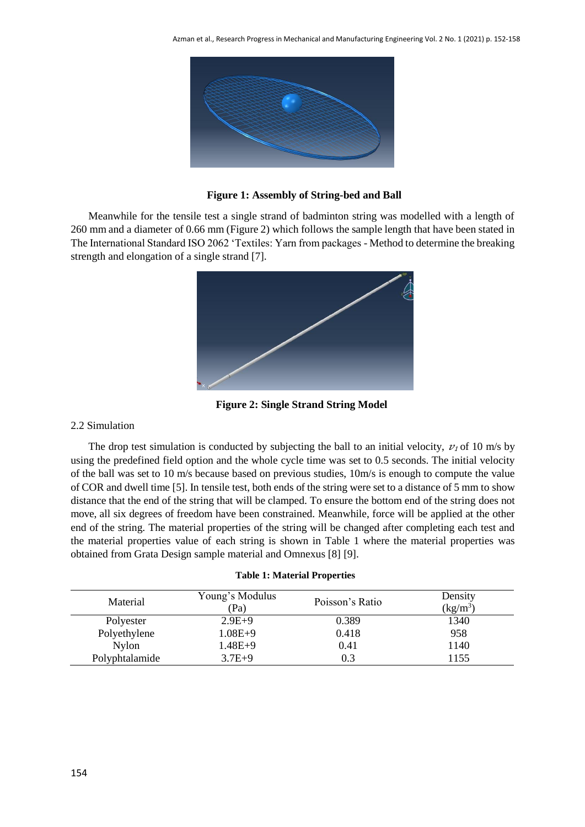

**Figure 1: Assembly of String-bed and Ball**

Meanwhile for the tensile test a single strand of badminton string was modelled with a length of 260 mm and a diameter of 0.66 mm (Figure 2) which follows the sample length that have been stated in The International Standard ISO 2062 'Textiles: Yarn from packages - Method to determine the breaking strength and elongation of a single strand [7].



**Figure 2: Single Strand String Model**

### 2.2 Simulation

The drop test simulation is conducted by subjecting the ball to an initial velocity,  $v_1$  of 10 m/s by using the predefined field option and the whole cycle time was set to 0.5 seconds. The initial velocity of the ball was set to 10 m/s because based on previous studies, 10m/s is enough to compute the value of COR and dwell time [5]. In tensile test, both ends of the string were set to a distance of 5 mm to show distance that the end of the string that will be clamped. To ensure the bottom end of the string does not move, all six degrees of freedom have been constrained. Meanwhile, force will be applied at the other end of the string. The material properties of the string will be changed after completing each test and the material properties value of each string is shown in Table 1 where the material properties was obtained from Grata Design sample material and Omnexus [8] [9].

|  |  |  | <b>Table 1: Material Properties</b> |
|--|--|--|-------------------------------------|
|--|--|--|-------------------------------------|

| Material       | Young's Modulus<br>(Pa) | Poisson's Ratio | Density<br>$(kg/m^3)$ |
|----------------|-------------------------|-----------------|-----------------------|
| Polyester      | $2.9E+9$                | 0.389           | 1340                  |
| Polyethylene   | $1.08E + 9$             | 0.418           | 958                   |
| <b>Nylon</b>   | $1.48E + 9$             | 0.41            | 1140                  |
| Polyphtalamide | $3.7E + 9$              | 0.3             | 1155                  |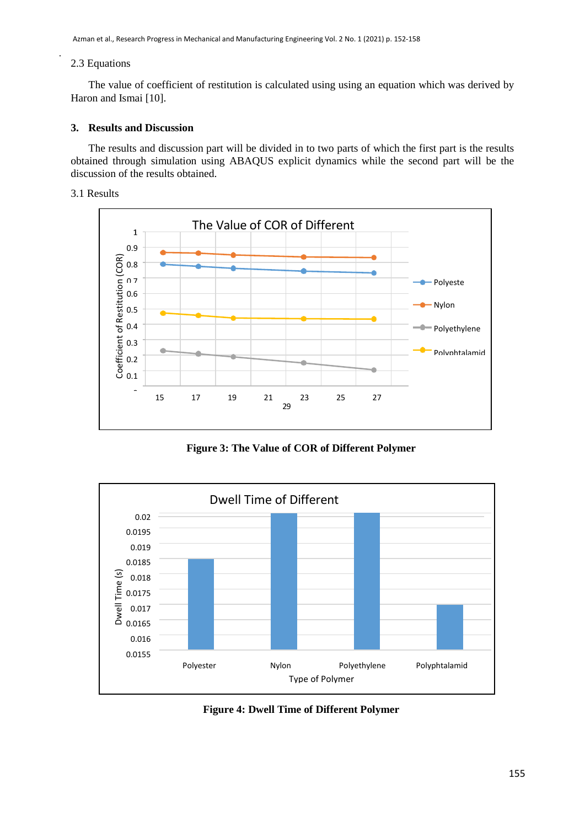## 2.3 Equations

.

The value of coefficient of restitution is calculated using using an equation which was derived by Haron and Ismai [10].

#### **3. Results and Discussion**

The results and discussion part will be divided in to two parts of which the first part is the results obtained through simulation using ABAQUS explicit dynamics while the second part will be the discussion of the results obtained.

#### 3.1 Results



**Figure 3: The Value of COR of Different Polymer**



**Figure 4: Dwell Time of Different Polymer**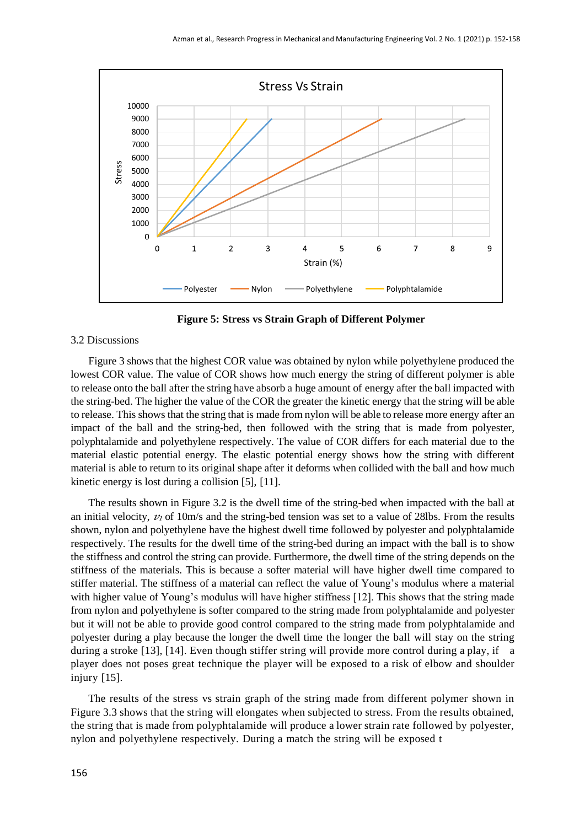

**Figure 5: Stress vs Strain Graph of Different Polymer**

#### 3.2 Discussions

Figure 3 shows that the highest COR value was obtained by nylon while polyethylene produced the lowest COR value. The value of COR shows how much energy the string of different polymer is able to release onto the ball after the string have absorb a huge amount of energy after the ball impacted with the string-bed. The higher the value of the COR the greater the kinetic energy that the string will be able to release. This shows that the string that is made from nylon will be able to release more energy after an impact of the ball and the string-bed, then followed with the string that is made from polyester, polyphtalamide and polyethylene respectively. The value of COR differs for each material due to the material elastic potential energy. The elastic potential energy shows how the string with different material is able to return to its original shape after it deforms when collided with the ball and how much kinetic energy is lost during a collision [5], [11].

The results shown in Figure 3.2 is the dwell time of the string-bed when impacted with the ball at an initial velocity,  $v_1$  of 10m/s and the string-bed tension was set to a value of 28lbs. From the results shown, nylon and polyethylene have the highest dwell time followed by polyester and polyphtalamide respectively. The results for the dwell time of the string-bed during an impact with the ball is to show the stiffness and control the string can provide. Furthermore, the dwell time of the string depends on the stiffness of the materials. This is because a softer material will have higher dwell time compared to stiffer material. The stiffness of a material can reflect the value of Young's modulus where a material with higher value of Young's modulus will have higher stiffness [12]. This shows that the string made from nylon and polyethylene is softer compared to the string made from polyphtalamide and polyester but it will not be able to provide good control compared to the string made from polyphtalamide and polyester during a play because the longer the dwell time the longer the ball will stay on the string during a stroke [13], [14]. Even though stiffer string will provide more control during a play, if a player does not poses great technique the player will be exposed to a risk of elbow and shoulder injury [15].

The results of the stress vs strain graph of the string made from different polymer shown in Figure 3.3 shows that the string will elongates when subjected to stress. From the results obtained, the string that is made from polyphtalamide will produce a lower strain rate followed by polyester, nylon and polyethylene respectively. During a match the string will be exposed t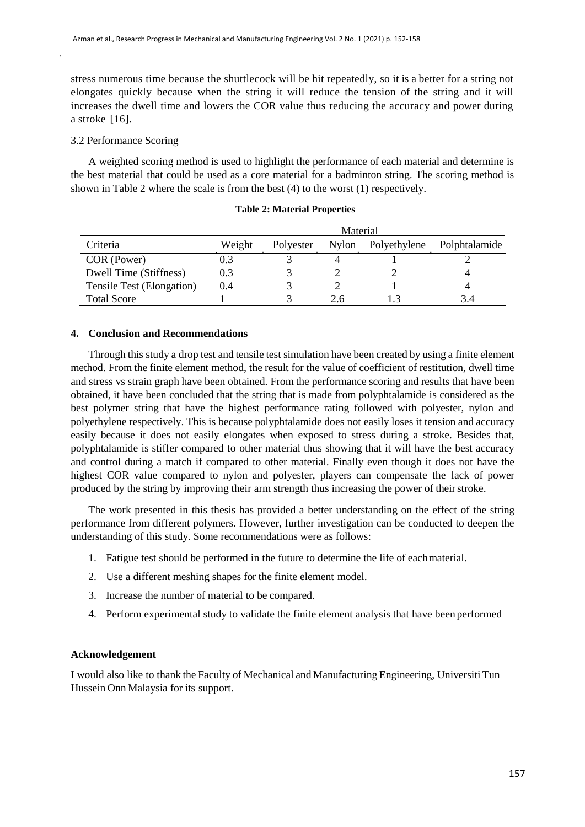stress numerous time because the shuttlecock will be hit repeatedly, so it is a better for a string not elongates quickly because when the string it will reduce the tension of the string and it will increases the dwell time and lowers the COR value thus reducing the accuracy and power during a stroke [16].

#### 3.2 Performance Scoring

.

A weighted scoring method is used to highlight the performance of each material and determine is the best material that could be used as a core material for a badminton string. The scoring method is shown in Table 2 where the scale is from the best (4) to the worst (1) respectively.

|                           | Material |           |       |              |               |  |
|---------------------------|----------|-----------|-------|--------------|---------------|--|
| Criteria                  | Weight   | Polyester | Nylon | Polyethylene | Polphtalamide |  |
| COR (Power)               | 0.3      |           |       |              |               |  |
| Dwell Time (Stiffness)    | 0.3      |           |       |              |               |  |
| Tensile Test (Elongation) | 0.4      |           |       |              |               |  |
| <b>Total Score</b>        |          |           |       |              | 34            |  |

**Table 2: Material Properties**

#### **4. Conclusion and Recommendations**

Through this study a drop test and tensile test simulation have been created by using a finite element method. From the finite element method, the result for the value of coefficient of restitution, dwell time and stress vs strain graph have been obtained. From the performance scoring and results that have been obtained, it have been concluded that the string that is made from polyphtalamide is considered as the best polymer string that have the highest performance rating followed with polyester, nylon and polyethylene respectively. This is because polyphtalamide does not easily loses it tension and accuracy easily because it does not easily elongates when exposed to stress during a stroke. Besides that, polyphtalamide is stiffer compared to other material thus showing that it will have the best accuracy and control during a match if compared to other material. Finally even though it does not have the highest COR value compared to nylon and polyester, players can compensate the lack of power produced by the string by improving their arm strength thus increasing the power of their stroke.

The work presented in this thesis has provided a better understanding on the effect of the string performance from different polymers. However, further investigation can be conducted to deepen the understanding of this study. Some recommendations were as follows:

- 1. Fatigue test should be performed in the future to determine the life of eachmaterial.
- 2. Use a different meshing shapes for the finite element model.
- 3. Increase the number of material to be compared.
- 4. Perform experimental study to validate the finite element analysis that have been performed

#### **Acknowledgement**

I would also like to thank the Faculty of Mechanical and Manufacturing Engineering, Universiti Tun Hussein Onn Malaysia for its support.